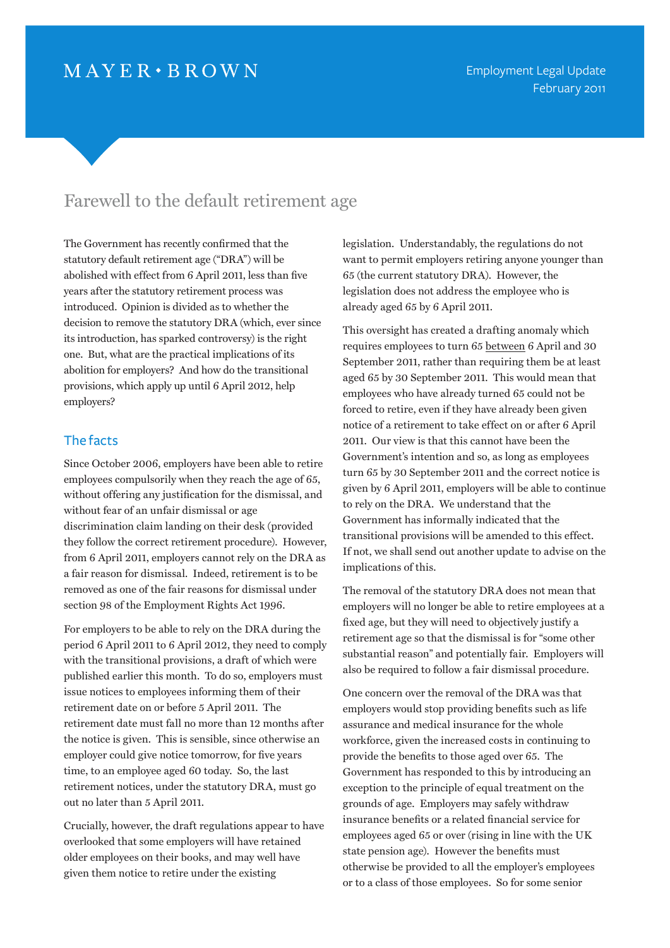# $MAYER \cdot BROWN$

# Farewell to the default retirement age

The Government has recently confirmed that the statutory default retirement age ("DRA") will be abolished with effect from 6 April 2011, less than five years after the statutory retirement process was introduced. Opinion is divided as to whether the decision to remove the statutory DRA (which, ever since its introduction, has sparked controversy) is the right one. But, what are the practical implications of its abolition for employers? And how do the transitional provisions, which apply up until 6 April 2012, help employers?

### The facts

Since October 2006, employers have been able to retire employees compulsorily when they reach the age of 65, without offering any justification for the dismissal, and without fear of an unfair dismissal or age discrimination claim landing on their desk (provided they follow the correct retirement procedure). However, from 6 April 2011, employers cannot rely on the DRA as a fair reason for dismissal. Indeed, retirement is to be removed as one of the fair reasons for dismissal under section 98 of the Employment Rights Act 1996.

For employers to be able to rely on the DRA during the period 6 April 2011 to 6 April 2012, they need to comply with the transitional provisions, a draft of which were published earlier this month. To do so, employers must issue notices to employees informing them of their retirement date on or before 5 April 2011. The retirement date must fall no more than 12 months after the notice is given. This is sensible, since otherwise an employer could give notice tomorrow, for five years time, to an employee aged 60 today. So, the last retirement notices, under the statutory DRA, must go out no later than 5 April 2011.

Crucially, however, the draft regulations appear to have overlooked that some employers will have retained older employees on their books, and may well have given them notice to retire under the existing

legislation. Understandably, the regulations do not want to permit employers retiring anyone younger than 65 (the current statutory DRA). However, the legislation does not address the employee who is already aged 65 by 6 April 2011.

This oversight has created a drafting anomaly which requires employees to turn 65 between 6 April and 30 September 2011, rather than requiring them be at least aged 65 by 30 September 2011. This would mean that employees who have already turned 65 could not be forced to retire, even if they have already been given notice of a retirement to take effect on or after 6 April 2011. Our view is that this cannot have been the Government's intention and so, as long as employees turn 65 by 30 September 2011 and the correct notice is given by 6 April 2011, employers will be able to continue to rely on the DRA. We understand that the Government has informally indicated that the transitional provisions will be amended to this effect. If not, we shall send out another update to advise on the implications of this.

The removal of the statutory DRA does not mean that employers will no longer be able to retire employees at a fixed age, but they will need to objectively justify a retirement age so that the dismissal is for "some other substantial reason" and potentially fair. Employers will also be required to follow a fair dismissal procedure.

One concern over the removal of the DRA was that employers would stop providing benefits such as life assurance and medical insurance for the whole workforce, given the increased costs in continuing to provide the benefits to those aged over 65. The Government has responded to this by introducing an exception to the principle of equal treatment on the grounds of age. Employers may safely withdraw insurance benefits or a related financial service for employees aged 65 or over (rising in line with the UK state pension age). However the benefits must otherwise be provided to all the employer's employees or to a class of those employees. So for some senior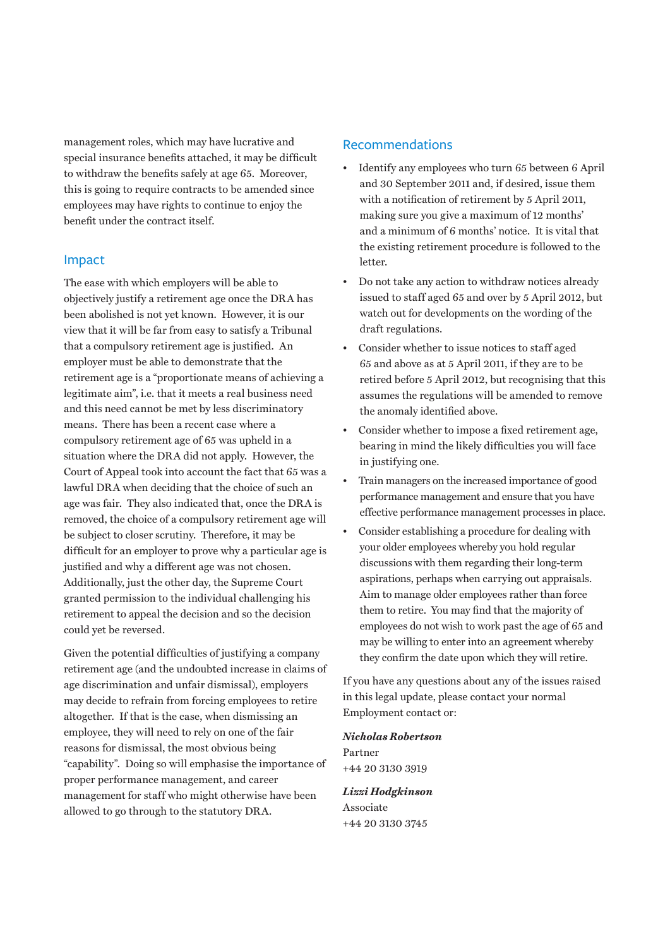management roles, which may have lucrative and special insurance benefits attached, it may be difficult to withdraw the benefits safely at age 65. Moreover, this is going to require contracts to be amended since employees may have rights to continue to enjoy the benefit under the contract itself.

#### Impact

The ease with which employers will be able to objectively justify a retirement age once the DRA has been abolished is not yet known. However, it is our view that it will be far from easy to satisfy a Tribunal that a compulsory retirement age is justified. An employer must be able to demonstrate that the retirement age is a "proportionate means of achieving a legitimate aim", i.e. that it meets a real business need and this need cannot be met by less discriminatory means. There has been a recent case where a compulsory retirement age of 65 was upheld in a situation where the DRA did not apply. However, the Court of Appeal took into account the fact that 65 was a lawful DRA when deciding that the choice of such an age was fair. They also indicated that, once the DRA is removed, the choice of a compulsory retirement age will be subject to closer scrutiny. Therefore, it may be difficult for an employer to prove why a particular age is justified and why a different age was not chosen. Additionally, just the other day, the Supreme Court granted permission to the individual challenging his retirement to appeal the decision and so the decision could yet be reversed.

Given the potential difficulties of justifying a company retirement age (and the undoubted increase in claims of age discrimination and unfair dismissal), employers may decide to refrain from forcing employees to retire altogether. If that is the case, when dismissing an employee, they will need to rely on one of the fair reasons for dismissal, the most obvious being "capability". Doing so will emphasise the importance of proper performance management, and career management for staff who might otherwise have been allowed to go through to the statutory DRA.

### **Recommendations**

- Identify any employees who turn 65 between 6 April and 30 September 2011 and, if desired, issue them with a notification of retirement by 5 April 2011, making sure you give a maximum of 12 months' and a minimum of 6 months' notice. It is vital that the existing retirement procedure is followed to the letter.
- Do not take any action to withdraw notices already issued to staff aged 65 and over by 5 April 2012, but watch out for developments on the wording of the draft regulations.
- Consider whether to issue notices to staff aged 65 and above as at 5 April 2011, if they are to be retired before 5 April 2012, but recognising that this assumes the regulations will be amended to remove the anomaly identified above.
- Consider whether to impose a fixed retirement age, bearing in mind the likely difficulties you will face in justifying one.
- Train managers on the increased importance of good performance management and ensure that you have effective performance management processes in place.
- Consider establishing a procedure for dealing with your older employees whereby you hold regular discussions with them regarding their long-term aspirations, perhaps when carrying out appraisals. Aim to manage older employees rather than force them to retire. You may find that the majority of employees do not wish to work past the age of 65 and may be willing to enter into an agreement whereby they confirm the date upon which they will retire.

If you have any questions about any of the issues raised in this legal update, please contact your normal Employment contact or:

*[Nicholas Robertson](http://www.mayerbrown.com/lawyers/profile.asp?hubbardid=R858410061)* Partner +44 20 3130 3919

*[Lizzi Hodgkinson](http://www.mayerbrown.com/lawyers/profile.asp?hubbardid=B850826442)* Associate +44 20 3130 3745